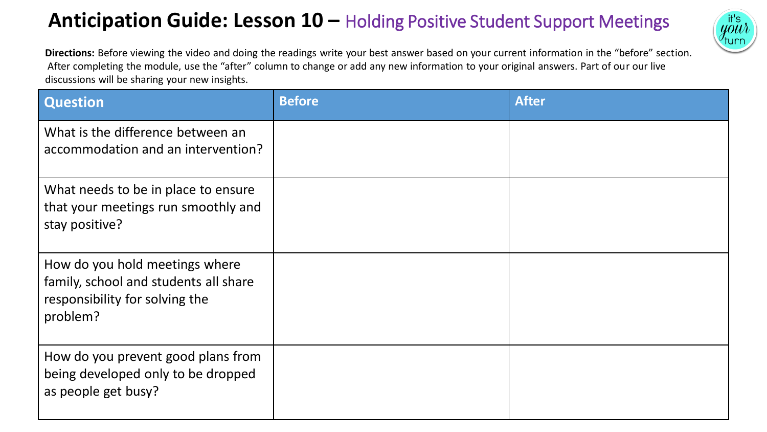## **Anticipation Guide: Lesson 10 –** Holding Positive Student Support Meetings



**Directions:** Before viewing the video and doing the readings write your best answer based on your current information in the "before" section. After completing the module, use the "after" column to change or add any new information to your original answers. Part of our our live discussions will be sharing your new insights.

| <b>Question</b>                                                                                                       | <b>Before</b> | <b>After</b> |
|-----------------------------------------------------------------------------------------------------------------------|---------------|--------------|
| What is the difference between an<br>accommodation and an intervention?                                               |               |              |
| What needs to be in place to ensure<br>that your meetings run smoothly and<br>stay positive?                          |               |              |
| How do you hold meetings where<br>family, school and students all share<br>responsibility for solving the<br>problem? |               |              |
| How do you prevent good plans from<br>being developed only to be dropped<br>as people get busy?                       |               |              |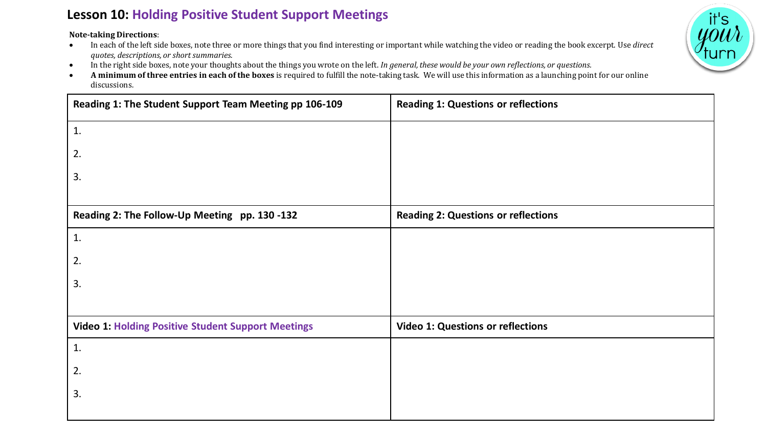## **Lesson 10: Holding Positive Student Support Meetings**

**Note-taking Directions**:

- In each of the left side boxes, note three or more things that you find interesting or important while watching the video or reading the book excerpt. Use *direct quotes, descriptions, or short summaries.*
- In the right side boxes, note your thoughts about the things you wrote on the left. *In general, these would be your own reflections, or questions.*
- **A minimum of three entries in each of the boxes** is required to fulfill the note-taking task. We will use this information as a launching point for our online discussions.

| Reading 1: The Student Support Team Meeting pp 106-109    | <b>Reading 1: Questions or reflections</b> |
|-----------------------------------------------------------|--------------------------------------------|
| 1.                                                        |                                            |
| 2.                                                        |                                            |
| 3.                                                        |                                            |
|                                                           |                                            |
| Reading 2: The Follow-Up Meeting pp. 130 -132             | <b>Reading 2: Questions or reflections</b> |
| 1.                                                        |                                            |
| 2.                                                        |                                            |
| 3.                                                        |                                            |
|                                                           |                                            |
| <b>Video 1: Holding Positive Student Support Meetings</b> | <b>Video 1: Questions or reflections</b>   |
| 1.                                                        |                                            |
| 2.                                                        |                                            |
| 3.                                                        |                                            |
|                                                           |                                            |

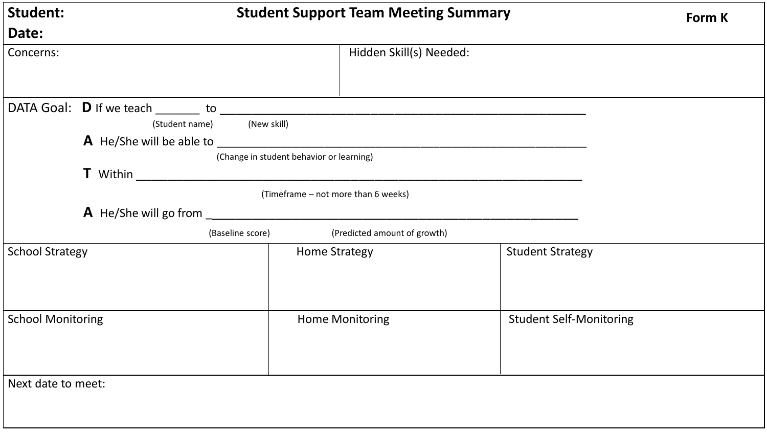| <b>Student:</b>          | <b>Student Support Team Meeting Summary</b>                                   |                                          |                                                      | <b>Form K</b>                  |  |
|--------------------------|-------------------------------------------------------------------------------|------------------------------------------|------------------------------------------------------|--------------------------------|--|
| Date:                    |                                                                               |                                          |                                                      |                                |  |
| Concerns:                |                                                                               |                                          | Hidden Skill(s) Needed:                              |                                |  |
|                          | DATA Goal: D If we teach _______ to ___________<br>(Student name) (New skill) |                                          | <u> 1980 - Johann John Stone, mars et al. (1980)</u> |                                |  |
|                          |                                                                               | (Change in student behavior or learning) |                                                      |                                |  |
|                          | A He/She will go from                                                         | (Timeframe – not more than 6 weeks)      |                                                      |                                |  |
|                          |                                                                               | (Baseline score)                         | (Predicted amount of growth)                         |                                |  |
| <b>School Strategy</b>   |                                                                               | <b>Home Strategy</b>                     |                                                      | <b>Student Strategy</b>        |  |
| <b>School Monitoring</b> |                                                                               |                                          | <b>Home Monitoring</b>                               | <b>Student Self-Monitoring</b> |  |
| Next date to meet:       |                                                                               |                                          |                                                      |                                |  |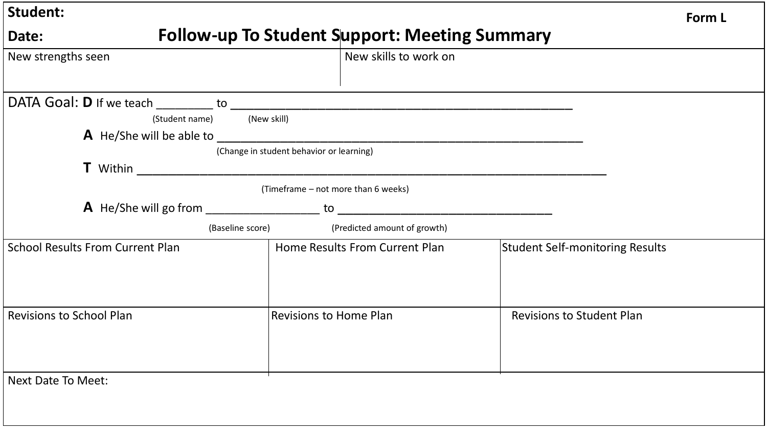| <b>Student:</b>                                               |                                                                                    | Form L                                 |  |  |
|---------------------------------------------------------------|------------------------------------------------------------------------------------|----------------------------------------|--|--|
| <b>Follow-up To Student Support: Meeting Summary</b><br>Date: |                                                                                    |                                        |  |  |
| New strengths seen                                            | New skills to work on                                                              |                                        |  |  |
| (Student name) (New skill)                                    |                                                                                    |                                        |  |  |
|                                                               | (Change in student behavior or learning)                                           |                                        |  |  |
|                                                               | (Timeframe - not more than 6 weeks)<br><b>A</b> He/She will go from to             |                                        |  |  |
| <b>School Results From Current Plan</b>                       | (Baseline score)<br>(Predicted amount of growth)<br>Home Results From Current Plan | <b>Student Self-monitoring Results</b> |  |  |
| <b>Revisions to School Plan</b>                               | <b>Revisions to Home Plan</b>                                                      | <b>Revisions to Student Plan</b>       |  |  |
| <b>Next Date To Meet:</b>                                     |                                                                                    |                                        |  |  |